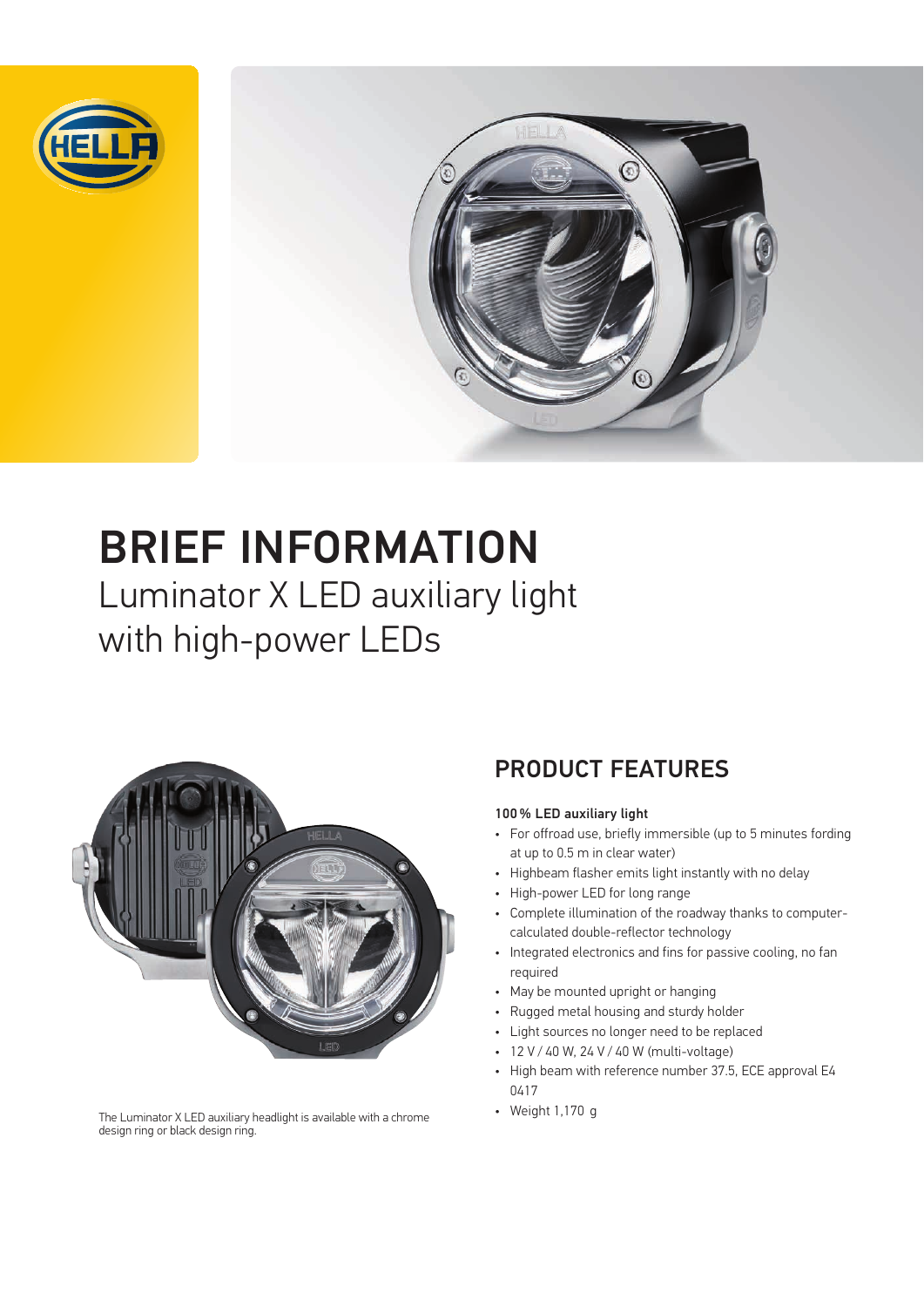



# BRIEF INFORMATION Luminator X LED auxiliary light with high-power LEDs



• Weight 1,170 g The Luminator X LED auxiliary headlight is available with a chrome design ring or black design ring.

# PRODUCT FEATURES

### 100 % LED auxiliary light

- For offroad use, briefly immersible (up to 5 minutes fording at up to 0.5 m in clear water)
- Highbeam flasher emits light instantly with no delay
- High-power LED for long range
- Complete illumination of the roadway thanks to computercalculated double-reflector technology
- Integrated electronics and fins for passive cooling, no fan required
- May be mounted upright or hanging
- Rugged metal housing and sturdy holder
- Light sources no longer need to be replaced
- 12 V / 40 W, 24 V / 40 W (multi-voltage)
- High beam with reference number 37.5, ECE approval E4 0417
-